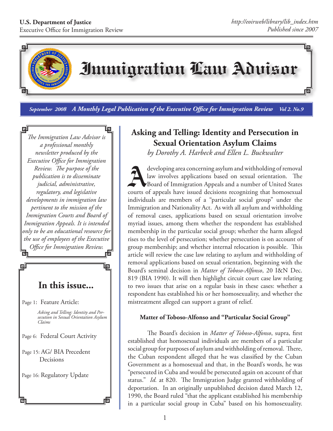

*September 2008 A Monthly Legal Publication of the Executive Office for Immigration Review Vol 2. No.9*

*The Immigration Law Advisor is a professional monthly newsletter produced by the Executive Office for Immigration Review. The purpose of the publication is to disseminate judicial, administrative, regulatory, and legislative developments in immigration law pertinent to the mission of the Immigration Courts and Board of Immigration Appeals. It is intended only to be an educational resource for the use of employees of the Executive Office for Immigration Review.* 両

# **In this issue...**

Page 1: Feature Article:

*Asking and Telling: Identity and Persecution in Sexual Orientation Asylum Claims*

岠

- Page 6: Federal Court Activity
- Page 15: AG/ BIA Precedent Decisions

Page 16: Regulatory Update

l.

堲

回

## **Asking and Telling: Identity and Persecution in Sexual Orientation Asylum Claims**

*by Dorothy A. Harbeck and Ellen L. Buckwalter*

developing area concerning asylum and withholding of removal<br>law involves applications based on sexual orientation. The<br>Board of Immigration Appeals and a number of United States law involves applications based on sexual orientation. The Board of Immigration Appeals and a number of United States courts of appeals have issued decisions recognizing that homosexual individuals are members of a "particular social group" under the Immigration and Nationality Act. As with all asylum and withholding of removal cases, applications based on sexual orientation involve myriad issues, among them whether the respondent has established membership in the particular social group; whether the harm alleged rises to the level of persecution; whether persecution is on account of group membership; and whether internal relocation is possible. This article will review the case law relating to asylum and withholding of removal applications based on sexual orientation, beginning with the Board's seminal decision in *Matter of Toboso-Alfonso*, 20 I&N Dec. 819 (BIA 1990). It will then highlight circuit court case law relating to two issues that arise on a regular basis in these cases: whether a respondent has established his or her homosexuality, and whether the mistreatment alleged can support a grant of relief.

#### **Matter of Toboso-Alfonso and "Particular Social Group"**

The Board's decision in *Matter of Toboso-Alfonso*, supra, first established that homosexual individuals are members of a particular social group for purposes of asylum and withholding of removal. There, the Cuban respondent alleged that he was classified by the Cuban Government as a homosexual and that, in the Board's words, he was "persecuted in Cuba and would be persecuted again on account of that status." *Id.* at 820. The Immigration Judge granted withholding of deportation. In an originally unpublished decision dated March 12, 1990, the Board ruled "that the applicant established his membership in a particular social group in Cuba" based on his homosexuality.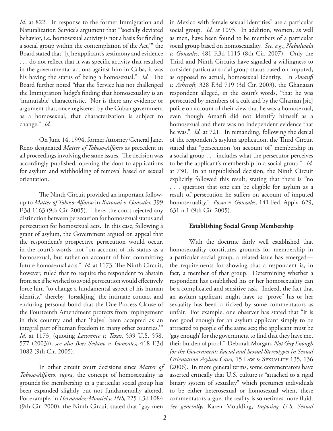*Id.* at 822. In response to the former Immigration and Naturalization Service's argument that "'socially deviated behavior, i.e. homosexual activity is not a basis for finding a social group within the contemplation of the Act,'" the Board stated that "[t]he applicant's testimony and evidence . . . do not reflect that it was specific activity that resulted in the governmental actions against him in Cuba, it was his having the status of being a homosexual." *Id.* The Board further noted "that the Service has not challenged the Immigration Judge's finding that homosexuality is an 'immutable' characteristic. Nor is there any evidence or argument that, once registered by the Cuban government as a homosexual, that characterization is subject to change." *Id.*

On June 14, 1994, former Attorney General Janet Reno designated *Matter of Toboso-Alfonso* as precedent in all proceedings involving the same issues. The decision was accordingly published, opening the door to applications for asylum and withholding of removal based on sexual orientation.

The Ninth Circuit provided an important followup to *Matter of Toboso-Alfonso* in *Karouni v. Gonzales,* 399 F.3d 1163 (9th Cir. 2005). There, the court rejected any distinction between persecution for homosexual status and persecution for homosexual acts. In this case, following a grant of asylum, the Government argued on appeal that the respondent's prospective persecution would occur, in the court's words, not "on account of his status as a homosexual, but rather on account of him committing future homosexual acts." *Id.* at 1173. The Ninth Circuit, however, ruled that to require the respondent to abstain from sex if he wished to avoid persecution would effectively force him "to change a fundamental aspect of his human identity," thereby "forsak[ing] the intimate contact and enduring personal bond that the Due Process Clause of the Fourteenth Amendment protects from impingement in this country and that 'ha[ve] been accepted as an integral part of human freedom in many other counties.'" *Id.* at 1173, (quoting *Lawrence v. Texas,* 539 U.S. 558, 577 (2003)); *see also Boer-Sedano v. Gonzales,* 418 F.3d 1082 (9th Cir. 2005).

In other circuit court decisions since *Matter of Toboso-Alfonso, supra,* the concept of homosexuality as grounds for membership in a particular social group has been expanded slightly but not fundamentally altered. For example, in *Hernandez-Montiel v. INS,* 225 F.3d 1084 (9th Cir. 2000), the Ninth Circuit stated that "gay men in Mexico with female sexual identities" are a particular social group. *Id.* at 1095. In addition, women, as well as men, have been found to be members of a particular social group based on homosexuality. *See, e.g*., *Nabulwala v. Gonzales,* 481 F.3d 1115 (8th Cir. 2007). Only the Third and Ninth Circuits have signaled a willingness to consider particular social group status based on imputed, as opposed to actual, homosexual identity. In *Amanfi v. Ashcroft,* 328 F.3d 719 (3d Cir. 2003), the Ghanaian respondent alleged, in the court's words, "that he was persecuted by members of a cult and by the Ghanian [sic] police on account of their view that he was a homosexual, even though Amanfi did not identify himself as a homosexual and there was no independent evidence that he was." *Id.* at 721. In remanding, following the denial of the respondent's asylum application, the Third Circuit stated that "persecution 'on account of' membership in a social group . . . includes what the persecutor perceives to be the applicant's membership in a social group." *Id.* at 730. In an unpublished decision, the Ninth Circuit explicitly followed this result, stating that there is "no . . . question that one can be eligible for asylum as a result of persecution he suffers on account of imputed homosexuality." *Pozos v. Gonzales,* 141 Fed. App'x. 629, 631 n.1 (9th Cir. 2005).

#### **Establishing Social Group Membership**

With the doctrine fairly well established that homosexuality constitutes grounds for membership in a particular social group, a related issue has emerged the requirements for showing that a respondent is, in fact, a member of that group. Determining whether a respondent has established his or her homosexuality can be a complicated and sensitive task. Indeed, the fact that an asylum applicant might have to "prove" his or her sexuality has been criticized by some commentators as unfair. For example, one observer has stated that "it is not good enough for an asylum applicant simply to be attracted to people of the same sex; the applicant must be 'gay enough' for the government to find that they have met their burden of proof." Deborah Morgan, *Not Gay Enough for the Government: Racial and Sexual Stereotypes in Sexual Orientation Asylum Cases,* 15 Law & Sexuality 135, 136 (2006). In more general terms, some commentators have asserted critically that U.S. culture is "attached to a rigid binary system of sexuality" which presumes individuals to be either heterosexual or homosexual when, these commentators argue, the reality is sometimes more fluid. *See generally*, Karen Moulding, *Imposing U.S. Sexual*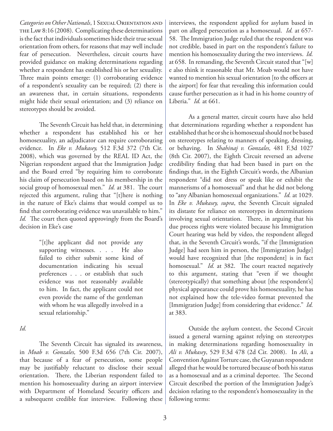*Categories on Other Nationals*, 1 Sexual Orientation and THE LAW 8:16 (2008). Complicating these determinations is the fact that individuals sometimes hide their true sexual orientation from others, for reasons that may well include fear of persecution. Nevertheless, circuit courts have provided guidance on making determinations regarding whether a respondent has established his or her sexuality. Three main points emerge: (1) corroborating evidence of a respondent's sexuality can be required; (2) there is an awareness that, in certain situations, respondents might hide their sexual orientation; and (3) reliance on stereotypes should be avoided.

The Seventh Circuit has held that, in determining whether a respondent has established his or her homosexuality, an adjudicator can require corroborating evidence. In *Eke v. Mukasey,* 512 F.3d 372 (7th Cir. 2008), which was governed by the REAL ID Act, the Nigerian respondent argued that the Immigration Judge and the Board erred "by requiring him to corroborate his claim of persecution based on his membership in the social group of homosexual men." *Id.* at 381. The court rejected this argument, ruling that "[t]here is nothing in the nature of Eke's claims that would compel us to find that corroborating evidence was unavailable to him." *Id.* The court then quoted approvingly from the Board's decision in Eke's case

> "[t]he applicant did not provide any supporting witnesses. . . . He also failed to either submit some kind of documentation indicating his sexual preferences . . . or establish that such evidence was not reasonably available to him. In fact, the applicant could not even provide the name of the gentleman with whom he was allegedly involved in a sexual relationship."

*Id.*

The Seventh Circuit has signaled its awareness, in *Moab v. Gonzales,* 500 F.3d 656 (7th Cir. 2007), that because of a fear of persecution, some people may be justifiably reluctant to disclose their sexual orientation. There, the Liberian respondent failed to mention his homosexuality during an airport interview with Department of Homeland Security officers and a subsequent credible fear interview. Following these interviews, the respondent applied for asylum based in part on alleged persecution as a homosexual. *Id.* at 657- 58. The Immigration Judge ruled that the respondent was not credible, based in part on the respondent's failure to mention his homosexuality during the two interviews. *Id.*  at 658. In remanding, the Seventh Circuit stated that "[w] e also think it reasonable that Mr. Moab would not have wanted to mention his sexual orientation [to the officers at the airport] for fear that revealing this information could cause further persecution as it had in his home country of Liberia." *Id.* at 661.

As a general matter, circuit courts have also held that determinations regarding whether a respondent has established that he or she is homosexual should not be based on stereotypes relating to manners of speaking, dressing, or behaving. In *Shahinaj v. Gonzales,* 481 F.3d 1027 (8th Cir. 2007), the Eighth Circuit reversed an adverse credibility finding that had been based in part on the findings that, in the Eighth Circuit's words, the Albanian respondent "did not dress or speak like or exhibit the mannerisms of a homosexual" and that he did not belong to "any Albanian homosexual organizations." *Id.* at 1029. In *Eke v. Mukasey, supra*, the Seventh Circuit signaled its distaste for reliance on stereotypes in determinations involving sexual orientation. There, in arguing that his due process rights were violated because his Immigration Court hearing was held by video, the respondent alleged that, in the Seventh Circuit's words, "if the [Immigration Judge] had seen him in person, the [Immigration Judge] would have recognized that [the respondent] is in fact homosexual." *Id.* at 382. The court reacted negatively to this argument, stating that "even if we thought (stereotypically) that something about [the respondent's] physical appearance could prove his homosexuality, he has not explained how the tele-video format prevented the [Immigration Judge] from considering that evidence." *Id.* at 383.

Outside the asylum context, the Second Circuit issued a general warning against relying on stereotypes in making determinations regarding homosexuality in *Ali v. Mukasey*, 529 F.3d 478 (2d Cir. 2008). In *Ali*, a Convention Against Torture case, the Guyanan respondent alleged that he would be tortured because of both his status as a homosexual and as a criminal deportee. The Second Circuit described the portion of the Immigration Judge's decision relating to the respondent's homosexuality in the following terms: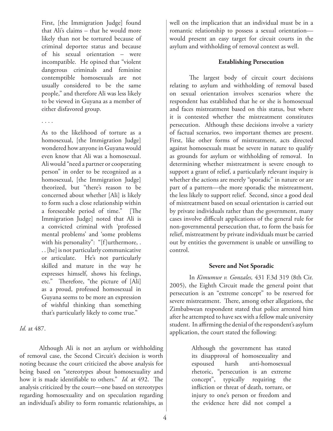First, [the Immigration Judge] found that Ali's claims – that he would more likely than not be tortured because of criminal deportee status and because of his sexual orientation – were incompatible. He opined that "violent dangerous criminals and feminine contemptible homosexuals are not usually considered to be the same people," and therefore Ali was less likely to be viewed in Guyana as a member of either disfavored group.

#### . . . .

As to the likelihood of torture as a homosexual, [the Immigration Judge] wondered how anyone in Guyana would even know that Ali was a homosexual. Ali would "need a partner or cooperating person" in order to be recognized as a homosexual, [the Immigration Judge] theorized, but "there's reason to be concerned about whether [Ali] is likely to form such a close relationship within a foreseeable period of time." [The Immigration Judge] noted that Ali is a convicted criminal with 'professed mental problems' and 'some problems with his personality": "[f]urthermore, . . . [he] is not particularly communicative or articulate. He's not particularly skilled and mature in the way he expresses himself, shows his feelings, etc." Therefore, "the picture of [Ali] as a proud, professed homosexual in Guyana seems to be more an expression of wishful thinking than something that's particularly likely to come true."

*Id.* at 487.

Although Ali is not an asylum or withholding of removal case, the Second Circuit's decision is worth noting because the court criticized the above analysis for being based on "stereotypes about homosexuality and how it is made identifiable to others." *Id.* at 492. The analysis criticized by the court—one based on stereotypes regarding homosexuality and on speculation regarding an individual's ability to form romantic relationships, as

well on the implication that an individual must be in a romantic relationship to possess a sexual orientation would present an easy target for circuit courts in the asylum and withholding of removal context as well.

#### **Establishing Persecution**

The largest body of circuit court decisions relating to asylum and withholding of removal based on sexual orientation involves scenarios where the respondent has established that he or she is homosexual and faces mistreatment based on this status, but where it is contested whether the mistreatment constitutes persecution. Although these decisions involve a variety of factual scenarios, two important themes are present. First, like other forms of mistreatment, acts directed against homosexuals must be severe in nature to qualify as grounds for asylum or withholding of removal. In determining whether mistreatment is severe enough to support a grant of relief, a particularly relevant inquiry is whether the actions are merely "sporadic" in nature or are part of a pattern—the more sporadic the mistreatment, the less likely to support relief. Second, since a good deal of mistreatment based on sexual orientation is carried out by private individuals rather than the government, many cases involve difficult applications of the general rule for non-governmental persecution that, to form the basis for relief, mistreatment by private individuals must be carried out by entities the government is unable or unwilling to control.

#### **Severe and Not Sporadic**

In *Kimumwe v. Gonzales,* 431 F.3d 319 (8th Cir. 2005), the Eighth Circuit made the general point that persecution is an "extreme concept" to be reserved for severe mistreatment. There, among other allegations, the Zimbabwean respondent stated that police arrested him after he attempted to have sex with a fellow male university student. In affirming the denial of the respondent's asylum application, the court stated the following:

> Although the government has stated its disapproval of homosexuality and espoused harsh anti-homosexual rhetoric, "persecution is an extreme concept", typically requiring the infliction or threat of death, torture, or injury to one's person or freedom and the evidence here did not compel a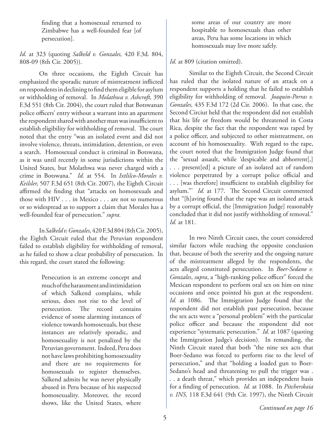finding that a homosexual returned to Zimbabwe has a well-founded fear [of persecution].

*Id.* at 323 (quoting *Salkeld v. Gonzales,* 420 F.3d. 804, 808-09 (8th Cir. 2005)).

On three occasions, the Eighth Circuit has emphasized the sporadic nature of mistreatment inflicted on respondents in declining to find them eligible for asylum or withholding of removal. In *Molathwa v. Ashcroft,* 390 F.3d 551 (8th Cir. 2004), the court ruled that Botswanan police officers' entry without a warrant into an apartment the respondent shared with another man was insufficient to establish eligibility for withholding of removal. The court noted that the entry "was an isolated event and did not involve violence, threats, intimidation, detention, or even a search. Homosexual conduct is criminal in Botswana, as it was until recently in some jurisdictions within the United States, but Molathwa was never charged with a crime in Botswana." *Id.* at 554. In *Ixtlilco-Morales v. Keilsler,* 507 F.3d 651 (8th Cir. 2007), the Eighth Circuit affirmed the finding that "attacks on homosexuals and those with HIV . . . in Mexico . . . are not so numerous or so widespread as to support a claim that Morales has a well-founded fear of persecution." *supra.*

In *Salkeld v. Gonzales,* 420 F.3d 804 (8th Cir. 2005), the Eighth Circuit ruled that the Peruvian respondent failed to establish eligibility for withholding of removal, as he failed to show a clear probability of persecution. In this regard, the court stated the following:

> Persecution is an extreme concept and much of the harassment and intimidation of which Salkend complains, while serious, does not rise to the level of persecution. The record contains evidence of some alarming instances of violence towards homosexuals, but these instances are relatively sporadic, and homosexuality is not penalized by the Peruvian government. Indeed, Peru does not have laws prohibiting homosexuality and there are no requirements for homosexuals to register themselves. Salkend admits he was never physically abused in Peru because of his suspected homosexuality. Moreover, the record shows, like the United States, where

some areas of our country are more hospitable to homosexuals than other areas, Peru has some locations in which homosexuals may live more safely.

#### *Id.* at 809 (citation omitted).

Similar to the Eighth Circuit, the Second Circuit has ruled that the isolated nature of an attack on a respondent supports a holding that he failed to establish eligibility for withholding of removal. *Joaquin-Porras v. Gonzales,* 435 F.3d 172 (2d Cir. 2006). In that case, the Second Circiut held that the respondent did not establish that his life or freedom would be threatened in Costa Rica, despite the fact that the respondent was raped by a police officer, and subjected to other mistreatment, on account of his homosexuality. With regard to the rape, the court noted that the Immigration Judge found that the "sexual assault, while 'despicable and abhorrent[,] . . . present[ed] a picture of an isolated act of random violence perpetrated by a corrupt police official and . . . [was therefore] insufficient to establish eligibility for asylum."' *Id.* at 177. The Second Circuit commented that "[h]aving found that the rape was an isolated attack by a corrupt official, the [Immigration Judge] reasonably concluded that it did not justify withholding of removal." *Id.* at 181.

In two Ninth Circuit cases, the court considered similar factors while reaching the opposite conclusion that, because of both the severity and the ongoing nature of the mistreatment alleged by the respondents, the acts alleged constituted persecution. In *Boer-Sedano v. Gonzales*, *supra*, a "high-ranking police officer" forced the Mexican respondent to perform oral sex on him on nine occasions and once pointed his gun at the respondent. *Id.* at 1086. The Immigration Judge found that the respondent did not establish past persecution, because the sex acts were a "personal problem" with the particular police officer and because the respondent did not experience "systematic persecution." *Id.* at 1087 (quoting the Immigration Judge's decision). In remanding, the Ninth Circuit stated that both "the nine sex acts that Boer-Sedano was forced to perform rise to the level of persecution," and that "holding a loaded gun to Boer-Sedano's head and threatening to pull the trigger was. . . a death threat," which provides an independent basis for a finding of persecution. *Id.* at 1088. In *Pitcherskaia v. INS,* 118 F.3d 641 (9th Cir. 1997), the Ninth Circuit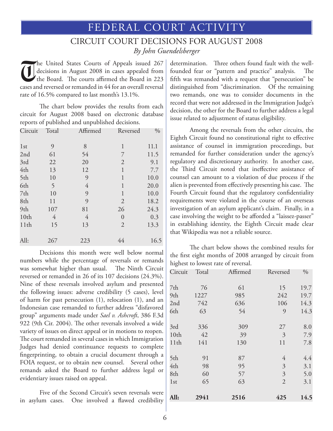# FEDERAL COURT ACTIVITY

## CIRCUIT COURT DECISIONS FOR AUGUST 2008 *By John Guendelsberger*

The United States Courts of Appeals issued 267<br>decisions in August 2008 in cases appealed from<br>the Board. The courts affirmed the Board in 223 decisions in August 2008 in cases appealed from the Board. The courts affirmed the Board in 223 cases and reversed or remanded in 44 for an overall reversal rate of 16.5% compared to last month's 13.1%.

The chart below provides the results from each circuit for August 2008 based on electronic database reports of published and unpublished decisions.

| Circuit          | Total          | Affirmed       | Reversed       | $\%$ |
|------------------|----------------|----------------|----------------|------|
| 1 <sub>st</sub>  | 9              | 8              | 1              | 11.1 |
| 2nd              | 61             | 54             | 7              | 11.5 |
| 3rd              | 22             | 20             | $\overline{2}$ | 9.1  |
| 4th              | 13             | 12             | $\mathbf{1}$   | 7.7  |
| 5th              | 10             | 9              | 1              | 10.0 |
| 6th              | 5              | $\overline{4}$ | $\mathbf{1}$   | 20.0 |
| 7th              | 10             | 9              | 1              | 10.0 |
| 8th              | 11             | 9              | $\overline{2}$ | 18.2 |
| 9th              | 107            | 81             | 26             | 24.3 |
| 10 <sub>th</sub> | $\overline{4}$ | 4              | $\theta$       | 0.3  |
| 11th             | 15             | 13             | $\overline{2}$ | 13.3 |
| All:             | 267            | 223            | 44             | 16.5 |

Decisions this month were well below normal numbers while the percentage of reversals or remands was somewhat higher than usual. The Ninth Circuit reversed or remanded in 26 of its 107 decisions (24.3%). Nine of these reversals involved asylum and presented the following issues: adverse credibility (5 cases), level of harm for past persecution (1), relocation (1), and an Indonesian case remanded to further address "disfavored group" arguments made under *Sael v. Ashcroft*, 386 F.3d 922 (9th Cir. 2004). The other reversals involved a wide variety of issues on direct appeal or in motions to reopen. The court remanded in several cases in which Immigration Judges had denied continuance requests to complete fingerprinting, to obtain a crucial document through a FOIA request, or to obtain new counsel. Several other remands asked the Board to further address legal or evidentiary issues raised on appeal.

Five of the Second Circuit's seven reversals were in asylum cases. One involved a flawed credibility determination. Three others found fault with the wellfounded fear or "pattern and practice" analysis. The fifth was remanded with a request that "persecution" be distinguished from "discrimination. Of the remaining two remands, one was to consider documents in the record that were not addressed in the Immigration Judge's decision, the other for the Board to further address a legal issue related to adjustment of status eligibility.

Among the reversals from the other circuits, the Eighth Circuit found no constitutional right to effective assistance of counsel in immigration proceedings, but remanded for further consideration under the agency's regulatory and discretionary authority. In another case, the Third Circuit noted that ineffective assistance of counsel can amount to a violation of due process if the alien is prevented from effectively presenting his case. The Fourth Circuit found that the regulatory confidentiality requirements were violated in the course of an overseas investigation of an asylum applicant's claim. Finally, in a case involving the weight to be afforded a "laissez-passer" in establishing identity, the Eighth Circuit made clear that Wikipedia was not a reliable source.

The chart below shows the combined results for the first eight months of 2008 arranged by circuit from highest to lowest rate of reversal.

| Circuit          | Total | Affirmed | Reversed       | $\frac{0}{0}$ |
|------------------|-------|----------|----------------|---------------|
| 7th              | 76    | 61       | 15             | 19.7          |
| 9th              | 1227  | 985      | 242            | 19.7          |
| 2nd              | 742   | 636      | 106            | 14.3          |
| 6th              | 63    | 54       | 9              | 14.3          |
| 3rd              | 336   | 309      | 27             | 8.0           |
| 10 <sub>th</sub> | 42    | 39       | 3              | 7.9           |
| 11th             | 141   | 130      | 11             | 7.8           |
| 5th              | 91    | 87       | 4              | 4.4           |
| 4th              | 98    | 95       | $\mathfrak{Z}$ | 3.1           |
| 8th              | 60    | 57       | $\mathfrak{Z}$ | 5.0           |
| 1 <sub>st</sub>  | 65    | 63       | $\overline{2}$ | 3.1           |
| All:             | 2941  | 2516     | 425            | 14.5          |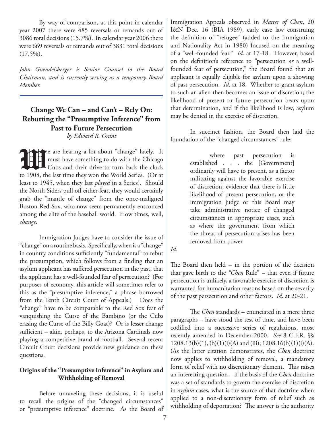By way of comparison, at this point in calendar year 2007 there were 485 reversals or remands out of 3086 total decisions (15.7%). In calendar year 2006 there were 669 reversals or remands out of 3831 total decisions  $(17.5\%)$ .

*John Guendelsberger is Senior Counsel to the Board Chairman, and is currently serving as a temporary Board Member.*

#### **Change We Can – and Can't – Rely On: Rebutting the "Presumptive Inference" from Past to Future Persecution** *by Edward R. Grant*

**W**e are hearing a lot about "change" lately. It must have something to do with the Chicago Cubs and their drive to turn back the clock to 1908, the last time they won the World Series. (Or at least to 1945, when they last *played* in a Series). Should the North Siders pull off either feat, they would certainly grab the "mantle of change" from the once-maligned Boston Red Sox, who now seem permanently ensconced among the elite of the baseball world. How times, well, *change*.

Immigration Judges have to consider the issue of "change" on a routine basis. Specifically, when is a "change" in country conditions sufficiently "fundamental" to rebut the presumption, which follows from a finding that an asylum applicant has suffered persecution in the past, that the applicant has a well-founded fear of persecution? (For purposes of economy, this article will sometimes refer to this as the "presumptive inference," a phrase borrowed from the Tenth Circuit Court of Appeals.) Does the "change" have to be comparable to the Red Sox feat of vanquishing the Curse of the Bambino (or the Cubs erasing the Curse of the Billy Goat)? Or is lesser change sufficient – akin, perhaps, to the Arizona Cardinals now playing a competitive brand of football. Several recent Circuit Court decisions provide new guidance on these questions.

#### **Origins of the "Presumptive Inference" in Asylum and Withholding of Removal**

Before unraveling these decisions, it is useful to recall the origins of the "changed circumstances" or "presumptive inference" doctrine. As the Board of Immigration Appeals observed in *Matter of Chen*, 20 I&N Dec. 16 (BIA 1989), early case law construing the definition of "refugee" (added to the Immigration and Nationality Act in 1980) focused on the meaning of a "well-founded fear." *Id*. at 17-18. However, based on the definition's reference to "persecution *or* a wellfounded fear of persecution," the Board found that an applicant is equally eligible for asylum upon a showing of past persecution. *Id*. at 18. Whether to grant asylum to such an alien then becomes an issue of discretion; the likelihood of present or future persecution bears upon that determination, and if the likelihood is low, asylum may be denied in the exercise of discretion.

In succinct fashion, the Board then laid the foundation of the "changed circumstances" rule:

> where past persecution is established . . . the [Government] ordinarily will have to present, as a factor militating against the favorable exercise of discretion, evidence that there is little likelihood of present persecution, or the immigration judge or this Board may take administrative notice of changed circumstances in appropriate cases, such as where the government from which the threat of persecution arises has been removed from power.

*Id*.

The Board then held – in the portion of the decision that gave birth to the *"Chen* Rule" – that even if future persecution is unlikely, a favorable exercise of discretion is warranted for humanitarian reasons based on the severity of the past persecution and other factors. *Id*. at 20-21.

The *Chen* standards – enunciated in a mere three paragraphs – have stood the test of time, and have been codified into a successive series of regulations, most recently amended in December 2000. *See* 8 C.F.R. §§  $1208.13(b)(1)$ ,  $(b)(1)(i)(A)$  and (iii);  $1208.16(b)(1)(i)(A)$ . (As the latter citation demonstrates, the *Chen* doctrine now applies to withholding of removal, a mandatory form of relief with no discretionary element. This raises an interesting question – if the basis of the *Chen* doctrine was a set of standards to govern the exercise of discretion in *asylum* cases, what is the source of that doctrine when applied to a non-discretionary form of relief such as withholding of deportation? The answer is the authority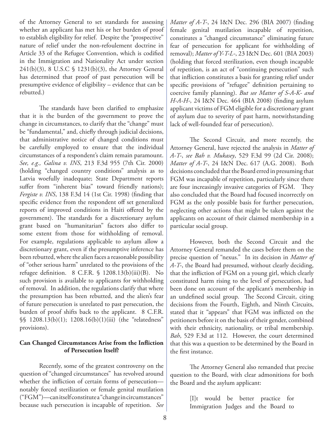of the Attorney General to set standards for assessing whether an applicant has met his or her burden of proof to establish eligibility for relief. Despite the "prospective" nature of relief under the non-refoulement doctrine in Article 33 of the Refugee Convention, which is codified in the Immigration and Nationality Act under section 241(b)(3), 8 U.S.C § 1231(b)(3), the Attorney General has determined that proof of past persecution will be presumptive evidence of eligibility – evidence that can be rebutted.)

The standards have been clarified to emphasize that it is the burden of the government to prove the change in circumstances, to clarify that the "change" must be "fundamental," and, chiefly through judicial decisions, that administrative notice of changed conditions must be carefully employed to ensure that the individual circumstances of a respondent's claim remain paramount. *See, e.g., Galina v. INS*, 213 F.3d 955 (7th Cir. 2000) (holding "changed country conditions" analysis as to Latvia woefully inadequate; State Department reports suffer from "inherent bias" toward friendly nations); *Fergiste v. INS*, 138 F.3d 14 (1st Cir. 1998) (finding that specific evidence from the respondent off set generalized reports of improved conditions in Haiti offered by the government). The standards for a discretionary asylum grant based on "humanitarian" factors also differ to some extent from those for withholding of removal. For example, regulations applicable to asylum allow a discretionary grant, even if the presumptive inference has been rebutted, where the alien faces a reasonable possibility of "other serious harm" unrelated to the provisions of the refugee definition. 8 C.F.R. § 1208.13(b)(iii)(B). No such provision is available to applicants for withholding of removal. In addition, the regulations clarify that where the presumption has been rebutted, and the alien's fear of future persecution is unrelated to past persecution, the burden of proof shifts back to the applicant. 8 C.F.R. §§ 1208.13(b)(1); 1208.16(b)(1)(iii) (the "relatedness" provisions).

#### **Can Changed Circumstances Arise from the Infliction of Persecution Itself?**

Recently, some of the greatest controversy on the question of "changed circumstances" has revolved around whether the infliction of certain forms of persecution notably forced sterilization or female genital mutilation ("FGM")—can itself constitute a "change in circumstances" because such persecution is incapable of repetition. *See*  *Matter of A-T-*, 24 I&N Dec. 296 (BIA 2007) (finding female genital mutilation incapable of repetition, constitutes a "changed circumstance" eliminating future fear of persecution for applicant for withholding of removal); *Matter of Y-T-L-*, 23 I&N Dec. 601 (BIA 2003) (holding that forced sterilization, even though incapable of repetition, is an act of "continuing persecution" such that infliction constitutes a basis for granting relief under specific provisions of "refugee" definition pertaining to coercive family planning). *But see Matter of S-A-K- and H-A-H-,* 24 I&N Dec. 464 (BIA 2008) (finding asylum applicant victims of FGM eligible for a discretionary grant of asylum due to severity of past harm, notwithstanding lack of well-founded fear of persecution).

The Second Circuit, and more recently, the Attorney General, have rejected the analysis in *Matter of A-T-*, *see Bah v. Mukasey*, 529 F.3d 99 (2d Cir. 2008); *Matter of A-T-*, 24 I&N Dec. 617 (A.G. 2008). Both decisions concluded that the Board erred in presuming that FGM was incapable of repetition, particularly since there are four increasingly invasive categories of FGM. They also concluded that the Board had focused incorrectly on FGM as the only possible basis for further persecution, neglecting other actions that might be taken against the applicants on account of their claimed membership in a particular social group.

However, both the Second Circuit and the Attorney General remanded the cases before them on the precise question of "nexus." In its decision in *Matter of A-T-*, the Board had presumed, without clearly deciding, that the infliction of FGM on a young girl, which clearly constituted harm rising to the level of persecution, had been done on account of the applicant's membership in an undefined social group. The Second Circuit, citing decisions from the Fourth, Eighth, and Ninth Circuits, stated that it "appears" that FGM was inflicted on the petitioners before it on the basis of their gender, combined with their ethnicity, nationality, or tribal membership. *Bah*, 529 F.3d at 112. However, the court determined that this was a question to be determined by the Board in the first instance.

The Attorney General also remanded that precise question to the Board, with clear admonitions for both the Board and the asylum applicant:

> [I]t would be better practice for Immigration Judges and the Board to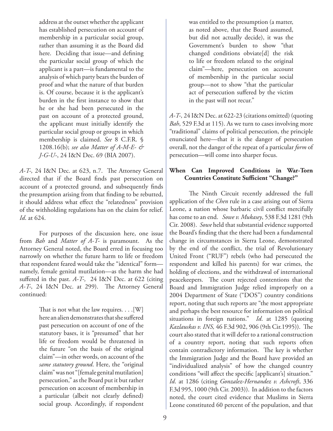address at the outset whether the applicant has established persecution on account of membership in a particular social group, rather than assuming it as the Board did here. Deciding that issue—and defining the particular social group of which the applicant is a part—is fundamental to the analysis of which party bears the burden of proof and what the nature of that burden is. Of course, because it is the applicant's burden in the first instance to show that he or she had been persecuted in the past on account of a protected ground, the applicant must initially identify the particular social group or groups in which membership is claimed. *See* 8 C.F.R. § 1208.16(b); *see also Matter of A-M-E- & J-G-U-*, 24 I&N Dec. 69 (BIA 2007).

*A-T-,* 24 I&N Dec. at 623, n.7. The Attorney General directed that if the Board finds past persecution on account of a protected ground, and subsequently finds the presumption arising from that finding to be rebutted, it should address what effect the "relatedness" provision of the withholding regulations has on the claim for relief. *Id*. at 624.

For purposes of the discussion here, one issue from *Bah* and *Matter of A-T-* is paramount. As the Attorney General noted, the Board erred in focusing too narrowly on whether the future harm to life or freedom that respondent feared would take the "identical" form namely, female genital mutilation—as the harm she had suffered in the past. *A-T-,* 24 I&N Dec. at 622 (citing *A-T-,* 24 I&N Dec. at 299). The Attorney General continued:

> That is not what the law requires. . . .[W] here an alien demonstrates that she suffered past persecution on account of one of the statutory bases, it is "presumed" that her life or freedom would be threatened in the future "on the basis of the original claim"—in other words, on account of the *same statutory ground*. Here, the "original claim" was not "[female genital mutilation] persecution," as the Board put it but rather persecution on account of membership in a particular (albeit not clearly defined) social group. Accordingly, if respondent

was entitled to the presumption (a matter, as noted above, that the Board assumed, but did not actually decide), it was the Government's burden to show "that changed conditions obviate[d] the risk to life or freedom related to the original claim"—here, persecution on account of membership in the particular social group—not to show "that the particular act of persecution suffered by the victim in the past will not recur."

*A-T-,* 24 I&N Dec. at 622-23 (citations omitted) (quoting *Bah*, 529 F.3d at 115). As we turn to cases involving more "traditional" claims of political persecution, the principle enunciated here—that it is the danger of persecution overall, not the danger of the repeat of a particular *form* of persecution—will come into sharper focus.

#### **When Can Improved Conditions in War-Torn Countries Constitute Sufficient "Change?"**

The Ninth Circuit recently addressed the full application of the *Chen* rule in a case arising out of Sierra Leone, a nation whose barbaric civil conflict mercifully has come to an end. *Sowe v. Mukasey*, 538 F.3d 1281 (9th Cir. 2008). *Sowe* held that substantial evidence supported the Board's finding that the there had been a fundamental change in circumstances in Sierra Leone, demonstrated by the end of the conflict, the trial of Revolutionary United Front ("RUF") rebels (who had persecuted the respondent and killed his parents) for war crimes, the holding of elections, and the withdrawal of international peacekeepers. The court rejected contentions that the Board and Immigration Judge relied improperly on a 2004 Department of State ("DOS") country conditions report, noting that such reports are "the most appropriate and perhaps the best resource for information on political situations in foreign nations." *Id*. at 1285 (quoting *Kazlauskas v. INS,* 46 F.3d 902, 906 (9th Cir.1995)). The court also stated that it will defer to a rational construction of a country report, noting that such reports often contain contradictory information. The key is whether the Immigration Judge and the Board have provided an "individualized analysis" of how the changed country conditions "will affect the specific [applicant's] situation." *Id*. at 1286 (citing *Gonzalez-Hernandez v. Ashcroft*, 336 F.3d 995, 1000 (9th Cir. 2003)). In addition to the factors noted, the court cited evidence that Muslims in Sierra Leone constituted 60 percent of the population, and that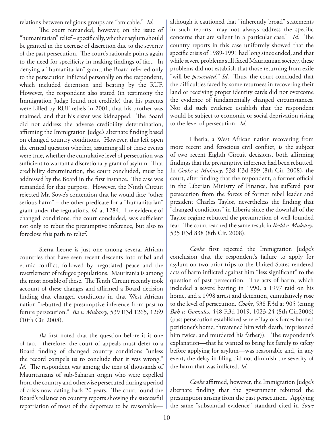relations between religious groups are "amicable." *Id.*

The court remanded, however, on the issue of "humanitarian" relief – specifically, whether asylum should be granted in the exercise of discretion due to the severity of the past persecution. The court's rationale points again to the need for specificity in making findings of fact. In denying a "humanitarian" grant, the Board referred only to the persecution inflicted personally on the respondent, which included detention and beating by the RUF. However, the respondent also stated (in testimony the Immigration Judge found not credible) that his parents were killed by RUF rebels in 2001, that his brother was maimed, and that his sister was kidnapped. The Board did not address the adverse credibility determination, affirming the Immigration Judge's alternate finding based on changed country conditions. However, this left open the critical question whether, assuming all of these events were true, whether the cumulative level of persecution was sufficient to warrant a discretionary grant of asylum. That credibility determination, the court concluded, must be addressed by the Board in the first instance. The case was remanded for that purpose. However, the Ninth Circuit rejected Mr. Sowe's contention that he would face "other serious harm" – the other predicate for a "humanitarian" grant under the regulations. *Id.* at 1284. The evidence of changed conditions, the court concluded, was sufficient not only to rebut the presumptive inference, but also to foreclose this path to relief.

Sierra Leone is just one among several African countries that have seen recent descents into tribal and ethnic conflict, followed by negotiated peace and the resettlement of refugee populations. Mauritania is among the most notable of these. The Tenth Circuit recently took account of these changes and affirmed a Board decision finding that changed conditions in that West African nation "rebutted the presumptive inference from past to future persecution." *Ba v. Mukasey*, 539 F.3d 1265, 1269 (10th Cir. 2008).

*Ba* first noted that the question before it is one of fact—therefore, the court of appeals must defer to a Board finding of changed country conditions "unless the record compels us to conclude that it was wrong." *Id.* The respondent was among the tens of thousands of Mauritanians of sub-Saharan origin who were expelled from the country and otherwise persecuted during a period of crisis now dating back 20 years. The court found the Board's reliance on country reports showing the successful repatriation of most of the deportees to be reasonablealthough it cautioned that "inherently broad" statements in such reports "may not always address the specific concerns that are salient in a particular case." *Id.* The country reports in this case uniformly showed that the specific crisis of 1989-1991 had long since ended, and that while severe problems still faced Mauritanian society, these problems did not establish that those returning from exile "will be *persecuted*." *Id*. Thus, the court concluded that the difficulties faced by some returnees in recovering their land or receiving proper identity cards did not overcome the evidence of fundamentally changed circumstances. Nor did such evidence establish that the respondent would be subject to economic or social deprivation rising to the level of persecution. *Id.*

Liberia, a West African nation recovering from more recent and ferocious civil conflict, is the subject of two recent Eighth Circuit decisions, both affirming findings that the presumptive inference had been rebutted. In *Cooke v. Mukasey*, 538 F.3d 899 (8th Cir. 2008), the court, after finding that the respondent, a former official in the Liberian Ministry of Finance, has suffered past persecution from the forces of former rebel leader and president Charles Taylor, nevertheless the finding that "changed conditions" in Liberia since the downfall of the Taylor regime rebutted the presumption of well-founded fear. The court reached the same result in *Redd v. Mukasey*, 535 F.3d 838 (8th Cir. 2008).

*Cooke* first rejected the Immigration Judge's conclusion that the respondent's failure to apply for asylum on two prior trips to the United States rendered acts of harm inflicted against him "less significant" to the question of past persecution. The acts of harm, which included a severe beating in 1990, a 1997 raid on his home, and a 1998 arrest and detention, cumulatively rose to the level of persecution. *Cooke*, 538 F.3d at 905 (citing *Bah v. Gonzales,* 448 F.3d 1019, 1023-24 (8th Cir.2006) (past persecution established where Taylor's forces burned petitioner's home, threatened him with death, imprisoned him twice, and murdered his father)). The respondent's explanation—that he wanted to bring his family to safety before applying for asylum—was reasonable and, in any event, the delay in filing did not diminish the severity of the harm that was inflicted. *Id.* 

*Cooke* affirmed, however, the Immigration Judge's alternate finding that the government rebutted the presumption arising from the past persecution. Applying the same "substantial evidence" standard cited in *Sowe*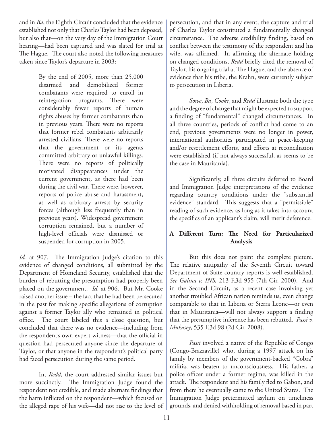and in *Ba*, the Eighth Circuit concluded that the evidence established not only that Charles Taylor had been deposed, but also that—on the very day of the Immigration Court hearing—had been captured and was slated for trial at The Hague. The court also noted the following measures taken since Taylor's departure in 2003:

> By the end of 2005, more than 25,000 disarmed and demobilized former combatants were required to enroll in reintegration programs. There were considerably fewer reports of human rights abuses by former combatants than in previous years. There were no reports that former rebel combatants arbitrarily arrested civilians. There were no reports that the government or its agents committed arbitrary or unlawful killings. There were no reports of politically motivated disappearances under the current government, as there had been during the civil war. There were, however, reports of police abuse and harassment, as well as arbitrary arrests by security forces (although less frequently than in previous years). Widespread government corruption remained, but a number of high-level officials were dismissed or suspended for corruption in 2005.

*Id.* at 907. The Immigration Judge's citation to this evidence of changed conditions, all submitted by the Department of Homeland Security, established that the burden of rebutting the presumption had properly been placed on the government. *Id.* at 906. But Mr. Cooke raised another issue – the fact that he had been persecuted in the past for making specific allegations of corruption against a former Taylor ally who remained in political office. The court labeled this a close question, but concluded that there was no evidence—including from the respondent's own expert witness—that the official in question had persecuted anyone since the departure of Taylor, or that anyone in the respondent's political party had faced persecution during the same period.

In, *Redd,* the court addressed similar issues but more succinctly. The Immigration Judge found the respondent not credible, and made alternate findings that the harm inflicted on the respondent—which focused on the alleged rape of his wife—did not rise to the level of persecution, and that in any event, the capture and trial of Charles Taylor constituted a fundamentally changed circumstance. The adverse credibility finding, based on conflict between the testimony of the respondent and his wife, was affirmed. In affirming the alternate holding on changed conditions, *Redd* briefly cited the removal of Taylor, his ongoing trial at The Hague, and the absence of evidence that his tribe, the Krahn, were currently subject to persecution in Liberia.

*Sowe*, *Ba*, *Cooke*, and *Redd* illustrate both the type and the degree of change that might be expected to support a finding of "fundamental" changed circumstances. In all three countries, periods of conflict had come to an end, previous governments were no longer in power, international authorities participated in peace-keeping and/or resettlement efforts, and efforts at reconciliation were established (if not always successful, as seems to be the case in Mauritania).

Significantly, all three circuits deferred to Board and Immigration Judge interpretations of the evidence regarding country conditions under the "substantial evidence" standard. This suggests that a "permissible" reading of such evidence, as long as it takes into account the specifics of an applicant's claim, will merit deference.

#### **A Different Turn: The Need for Particularized Analysis**

But this does not paint the complete picture. The relative antipathy of the Seventh Circuit toward Department of State country reports is well established. *See Galina v. INS,* 213 F.3d 955 (7th Cir. 2000). And in the Second Circuit, as a recent case involving yet another troubled African nation reminds us, even change comparable to that in Liberia or Sierra Leone—or even that in Mauritania—will not always support a finding that the presumptive inference has been rebutted. *Passi v. Mukasey*, 535 F.3d 98 (2d Cir. 2008).

*Passi* involved a native of the Republic of Congo (Congo-Brazzaville) who, during a 1997 attack on his family by members of the government-backed "Cobra" militia, was beaten to unconsciousness. His father, a police officer under a former regime, was killed in the attack. The respondent and his family fled to Gabon, and from there he eventually came to the United States. The Immigration Judge pretermitted asylum on timeliness grounds, and denied withholding of removal based in part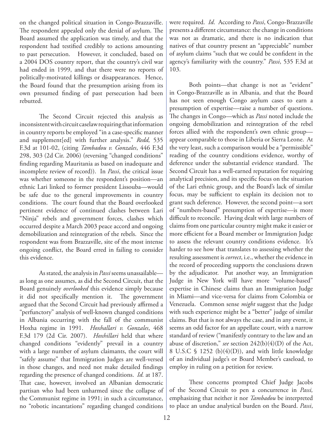on the changed political situation in Congo-Brazzaville. The respondent appealed only the denial of asylum. The Board assumed the application was timely, and that the respondent had testified credibly to actions amounting to past persecution. However, it concluded, based on a 2004 DOS country report, that the country's civil war had ended in 1999, and that there were no reports of politically-motivated killings or disappearances. Hence, the Board found that the presumption arising from its own presumed finding of past persecution had been rebutted.

The Second Circuit rejected this analysis as inconsistent with circuit caselaw requiring that information in country reports be employed "in a case-specific manner and supplement[ed] with further analysis." *Redd,* 535 F.3d at 101-02, (citing *Tambadou v. Gonzales*, 446 F.3d 298, 303 (2d Cir. 2006) (reversing "changed conditions" finding regarding Mauritania as based on inadequate and incomplete review of record)). In *Passi*, the critical issue was whether someone in the respondent's position—an ethnic Lari linked to former president Lissouba—would be safe due to the general improvements in country conditions. The court found that the Board overlooked pertinent evidence of continued clashes between Lari "Ninja" rebels and government forces, clashes which occurred despite a March 2003 peace accord and ongoing demobilization and reintegration of the rebels. Since the respondent was from Brazzaville, site of the most intense ongoing conflict, the Board erred in failing to consider this evidence.

As stated, the analysis in *Passi* seems unassailable as long as one assumes, as did the Second Circuit, that the Board genuinely *overlooked* this evidence simply because it did not specifically mention it. The government argued that the Second Circuit had previously affirmed a "perfunctory" analysis of well-known changed conditions in Albania occurring with the fall of the communist Hoxha regime in 1991. *Hoxhallari v. Gonzales*, 468 F.3d 179 (2d Cir. 2007). *Hoxhillari* held that where changed conditions "evidently" prevail in a country with a large number of asylum claimants, the court will "safely assume" that Immigration Judges are well-versed in those changes, and need not make detailed findings regarding the presence of changed conditions. *Id.* at 187. That case, however, involved an Albanian democratic partisan who had been unharmed since the collapse of the Communist regime in 1991; in such a circumstance, no "robotic incantations" regarding changed conditions were required. *Id*. According to *Passi*, Congo-Brazzaville presents a different circumstance: the change in conditions was not as dramatic, and there is no indication that natives of that country present an "appreciable" number of asylum claims "such that we could be confident in the agency's familiarity with the country." *Passi*, 535 F.3d at 103.

Both points—that change is not as "evident" in Congo-Brazzaville as in Albania, and that the Board has not seen enough Congo asylum cases to earn a presumption of expertise—raise a number of questions. The changes in Congo—which as *Passi* noted include the ongoing demobilization and reintegration of the rebel forces allied with the respondent's own ethnic group appear comparable to those in Liberia or Sierra Leone. At the very least, such a comparison would be a "permissible" reading of the country conditions evidence, worthy of deference under the substantial evidence standard. The Second Circuit has a well-earned reputation for requiring analytical precision, and its specific focus on the situation of the Lari ethnic group, and the Board's lack of similar focus, may be sufficient to explain its decision not to grant such deference. However, the second point—a sort of "numbers-based" presumption of expertise—is more difficult to reconcile. Having dealt with large numbers of claims from one particular country might make it easier or more efficient for a Board member or Immigration Judge to assess the relevant country conditions evidence. It's harder to see how that translates to assessing whether the resulting assessment is *correct*, i.e., whether the evidence in the record of proceeding supports the conclusions drawn by the adjudicator. Put another way, an Immigration Judge in New York will have more "volume-based" expertise in Chinese claims than an Immigration Judge in Miami—and vice-versa for claims from Colombia or Venezuela. Common sense *might* suggest that the Judge with such experience might be a "better" judge of similar claims. But that is not always the case, and in any event, it seems an odd factor for an appellate court, with a narrow standard of review ("manifestly contrary to the law and an abuse of discretion," *see* section 242(b)(4)(D) of the Act, 8 U.S.C  $\frac{1252 \text{ (b)}(4)(D)}{2}$ , and with little knowledge of an individual judge's or Board Member's caseload, to employ in ruling on a petition for review.

These concerns prompted Chief Judge Jacobs of the Second Circuit to pen a concurrence in *Passi,*  emphasizing that neither it nor *Tambadou* be interpreted to place an undue analytical burden on the Board. *Passi*,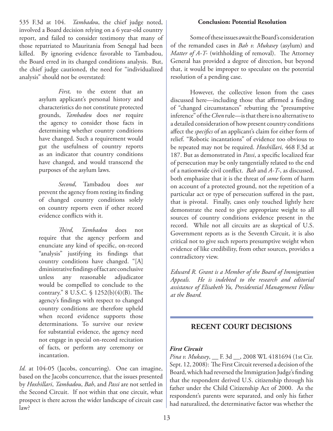535 F.3d at 104. *Tambadou*, the chief judge noted, involved a Board decision relying on a 6 year-old country report, and failed to consider testimony that many of those repatriated to Mauritania from Senegal had been killed. By ignoring evidence favorable to Tambadou, the Board erred in its changed conditions analysis. But, the chief judge cautioned, the need for "individualized analysis" should not be overstated:

> *First,* to the extent that an asylum applicant's personal history and characteristics do not constitute protected grounds, *Tambadou* does *not* require the agency to consider those facts in determining whether country conditions have changed. Such a requirement would gut the usefulness of country reports as an indicator that country conditions have changed, and would transcend the purposes of the asylum laws.

> *Second*, Tambadou does *not* prevent the agency from resting its finding of changed country conditions solely on country reports even if other record evidence conflicts with it.

> *Third, Tambadou* does not require that the agency perform and enunciate any kind of specific, on-record "analysis" justifying its findings that country conditions have changed. "[A] dministrative findings of fact are conclusive unless any reasonable adjudicator would be compelled to conclude to the contrary." 8 U.S.C. § 1252(b)(4)(B). The agency's findings with respect to changed country conditions are therefore upheld when record evidence supports those determinations. To survive our review for substantial evidence, the agency need not engage in special on-record recitation of facts, or perform any ceremony or incantation.

*Id.* at 104-05 (Jacobs, concurring). One can imagine, based on the Jacobs concurrence, that the issues presented by *Hoxhillari*, *Tambadou*, *Bah*, and *Passi* are not settled in the Second Circuit. If not within that one circuit, what prospect is there across the wider landscape of circuit case law?

#### **Conclusion: Potential Resolution**

Some of these issues await the Board's consideration of the remanded cases in *Bah v. Mukasey* (asylum) and *Matter of A-T-* (withholding of removal). The Attorney General has provided a degree of direction, but beyond that, it would be improper to speculate on the potential resolution of a pending case.

However, the collective lesson from the cases discussed here—including those that affirmed a finding of "changed circumstances" rebutting the "presumptive inference" of the *Chen* rule—is that there is no alternative to a detailed consideration of how present country conditions affect the *specifics* of an applicant's claim for either form of relief. "Robotic incantations" of evidence too obvious to be repeated may not be required. *Hoxhillari,* 468 F.3d at 187. But as demonstrated in *Passi*, a specific localized fear of persecution may be only tangentially related to the end of a nationwide civil conflict. *Bah* and *A-T-*, as discussed, both emphasize that it is the threat of *some* form of harm on account of a protected ground, not the repetition of a particular act or type of persecution suffered in the past, that is pivotal. Finally, cases only touched lightly here demonstrate the need to give appropriate weight to all sources of country conditions evidence present in the record. While not all circuits are as skeptical of U.S. Government reports as is the Seventh Circuit, it is also critical not to give such reports presumptive weight when evidence of like credibility, from other sources, provides a contradictory view.

*Edward R. Grant is a Member of the Board of Immigration Appeals. He is indebted to the research and editorial assistance of Elisabeth Yu, Presidential Management Fellow at the Board.*

## **RECENT COURT DECISIONS**

#### *First Circuit*

*Pina v. Mukasey*, \_\_ F. 3d \_\_, 2008 WL 4181694 (1st Cir. Sept. 12, 2008): The First Circuit reversed a decision of the Board, which had reversed the Immigration Judge's finding that the respondent derived U.S. citizenship through his father under the Child Citizenship Act of 2000. As the respondent's parents were separated, and only his father had naturalized, the determinative factor was whether the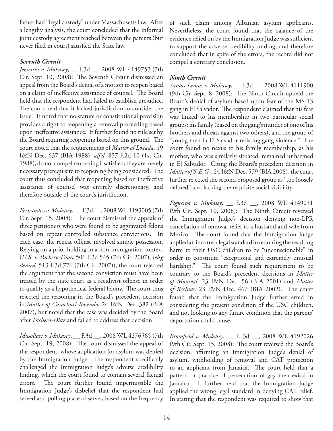father had "legal custody" under Massachusetts law. After a lengthy analysis, the court concluded that the informal joint custody agreement reached between the parents (but never filed in court) satisfied the State law.

#### *Seventh Circuit*

*Jezierski v. Mukasey*, \_\_ F.3d \_\_, 2008 WL 4149753 (7th Cir. Sept. 10, 2008): The Seventh Circuit dismissed an appeal from the Board's denial of a motion to reopen based on a claim of ineffective assistance of counsel. The Board held that the respondent had failed to establish prejudice. The court held that it lacked jurisdiction to consider the issue. It noted that no statute or constitutional provision provides a right to reopening a removal proceeding based upon ineffective assistance. It further found no rule set by the Board requiring reopening based on this ground. The court noted that the requirements of *Matter of Lozada,* 19 I&N Dec. 637 (BIA 1988), *aff'd,* 857 F.2d 10 (1st Cir. 1988), do not compel reopening if satisfied; they are merely necessary prerequisite to reopening being considered. The court thus concluded that reopening based on ineffective assistance of counsel was entirely discretionary, and therefore outside of the court's jurisdiction.

*Fernandez v. Mukasey*, \_\_ F.3d \_\_, 2008 WL 4193005 (7th Cir. Sept. 15, 2008): The court dismissed the appeals of three petitioners who were found to be aggravated felons based on repeat controlled substance convictions. In each case, the repeat offense involved simple possession. Relying on a prior holding in a non-immigration context (*U.S. v. Pacheco-Diaz,* 506 F.3d 545 (7th Cir. 2007), *reh'g denied,* 513 F.3d 776 (7th Cir. 2007)), the court rejected the argument that the second conviction must have been treated by the state court as a recidivist offense in order to qualify as a hypothetical federal felony. The court thus rejected the reasoning in the Board's precedent decision in *Matter of Carachuri-Rosendo*, 24 I&N Dec. 382 (BIA 2007), but noted that the case was decided by the Board after *Pacheco-Diaz* and failed to address that decision.

*Musollari v. Mukasey*, \_\_ F.3d \_\_, 2008 WL 4276565 (7th Cir. Sept. 19, 2008): The court dismissed the appeal of the respondent, whose application for asylum was denied by the Immigration Judge. The respondent specifically challenged the Immigration Judge's adverse credibility finding, which the court found to contain several factual errors. The court further found impermissible the Immigration Judge's disbelief that the respondent had served as a polling place observer, based on the frequency

of such claim among Albanian asylum applicants. Nevertheless, the court found that the balance of the evidence relied on by the Immigration Judge was sufficient to support the adverse credibility finding, and therefore concluded that in spite of the errors, the record did not compel a contrary conclusion.

### *Ninth Circuit*

*Santos-Lemus v. Mukasey*, \_\_ F.3d \_\_, 2008 WL 4111900 (9th Cir. Sept. 8, 2008): The Ninth Circuit upheld the Board's denial of asylum based upon fear of the MS-13 gang in El Salvador. The respondent claimed that his fear was linked to his membership in two particular social groups: his family (based on the gang's murder of one of his brothers and threats against two others), and the group of "young men in El Salvador resisting gang violence." The court found no nexus to his family membership, as his mother, who was similarly situated, remained unharmed in El Salvador. Citing the Board's precedent decision in *Matter of S-E-G-*, 24 I&N Dec. 579 (BIA 2008), the court further rejected the second proposed group as "too loosely defined" and lacking the requisite social visibility.

*Figueroa v. Mukasey*, \_\_ F.3d \_\_, 2008 WL 4149031 (9th Cir. Sept. 10, 2008): The Ninth Circuit reversed the Immigration Judge's decision denying non-LPR cancellation of removal relief to a husband and wife from Mexico. The court found that the Immigration Judge applied an incorrect legal standard in requiring the resulting harm to their USC children to be "unconscionable" in order to constitute "exceptional and extremely unusual hardship." The court found such requirement to be contrary to the Board's precedent decisions in *Matter of Monreal*, 23 I&N Dec. 56 (BIA 2001) and *Matter of Recinas,* 23 I&N Dec. 467 (BIA 2002). The court found that the Immigration Judge further erred in considering the present condition of the USC children, and not looking to any future condition that the parents' deportation could cause.

*Bromfield v. Mukasey*, \_\_ F. 3d \_\_, 2008 WL 4192026 (9th Cir. Sept. 15, 2008): The court reversed the Board's decision, affirming an Immigration Judge's denial of asylum, withholding of removal and CAT protection to an applicant from Jamaica. The court held that a pattern or practice of persecution of gay men exists in Jamaica. It further held that the Immigration Judge applied the wrong legal standard in denying CAT relief. In stating that the respondent was required to show that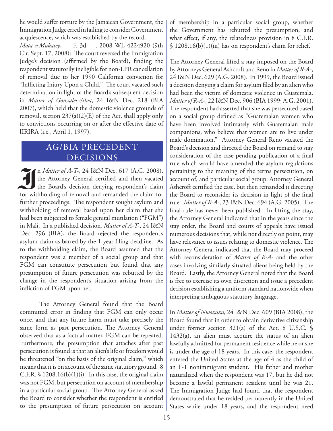he would suffer torture by the Jamaican Government, the Immigration Judge erred in failing to consider Government acquiescence, which was established by the record.

*Mota v.Mukasey*, \_\_ F. 3d \_\_, 2008 WL 4224920 (9th Cir. Sept. 17, 2008): The court reversed the Immigration Judge's decision (affirmed by the Board), finding the respondent statutorily ineligible for non-LPR cancellation of removal due to her 1990 California conviction for "Inflicting Injury Upon a Child." The court vacated such determination in light of the Board's subsequent decision in *Matter of Gonzales-Silva*, 24 I&N Dec. 218 (BIA 2007), which held that the domestic violence grounds of removal, section 237(a)(2)(E) of the Act, shall apply only to convictions occurring on or after the effective date of IIRIRA (i.e., April 1, 1997).

## AG/BIA PRECEDENT DECISIONS

I<sup>n *Matter of A-T-*, 24 I&N Dec. 617 (A.G. 2008), the Attorney General certified and then vacated the Board's decision denying respondent's claim for</sup> the Attorney General certified and then vacated for withholding of removal and remanded the claim for further proceedings. The respondent sought asylum and withholding of removal based upon her claim that she had been subjected to female genital mutilation ("FGM") in Mali. In a published decision, *Matter of A-T-*, 24 I&N Dec. 296 (BIA), the Board rejected the respondent's asylum claim as barred by the 1-year filing deadline. As to the withholding claim, the Board assumed that the respondent was a member of a social group and that FGM can constitute persecution but found that any presumption of future persecution was rebutted by the change in the respondent's situation arising from the infliction of FGM upon her.

The Attorney General found that the Board committed error in finding that FGM can only occur once, and that any future harm must take precisely the same form as past persecution. The Attorney General observed that as a factual matter, FGM can be repeated. Furthermore, the presumption that attaches after past persecution is found is that an alien's life or freedom would be threatened "on the basis of the original claim," which means that it is on account of the same statutory ground. 8 C.F.R.  $\$ 1208.16(b)(1)(i)$ . In this case, the original claim was not FGM, but persecution on account of membership in a particular social group. The Attorney General asked the Board to consider whether the respondent is entitled to the presumption of future persecution on account of membership in a particular social group, whether the Government has rebutted the presumption, and what effect, if any, the relatedness provision in 8 C.F.R. § 1208.16(b)(1)(iii) has on respondent's claim for relief.

The Attorney General lifted a stay imposed on the Board by Attorneys General Ashcroft and Reno in *Matter of R-A-*, 24 I&N Dec. 629 (A.G. 2008). In 1999, the Board issued a decision denying a claim for asylum filed by an alien who had been the victim of domestic violence in Guatemala. *Matter of R-A-*, 22 I&N Dec. 906 (BIA 1999; A.G. 2001). The respondent had asserted that she was persecuted based on a social group defined as "Guatemalan women who have been involved intimately with Guatemalan male companions, who believe that women are to live under male domination." Attorney General Reno vacated the Board's decision and directed the Board on remand to stay consideration of the case pending publication of a final rule which would have amended the asylum regulations pertaining to the meaning of the terms persecution, on account of, and particular social group. Attorney General Ashcroft certified the case, but then remanded it directing the Board to reconsider its decision in light of the final rule. *Matter of R-A-*, 23 I&N Dec. 694 (A.G. 2005). The final rule has never been published. In lifting the stay, the Attorney General indicated that in the years since the stay order, the Board and courts of appeals have issued numerous decisions that, while not directly on point, may have relevance to issues relating to domestic violence. The Attorney General indicated that the Board may proceed with reconsideration of *Matter of R-A-* and the other cases involving similarly situated aliens being held by the Board. Lastly, the Attorney General noted that the Board is free to exercise its own discretion and issue a precedent decision establishing a uniform standard nationwide when interpreting ambiguous statutory language.

In *Matter of Nwozuzu*, 24 I&N Dec. 609 (BIA 2008), the Board found that in order to obtain derivative citizenship under former section 321(a) of the Act, 8 U.S.C. §  $1432(a)$ , an alien must acquire the status of an alien lawfully admitted for permanent residence while he or she is under the age of 18 years. In this case, the respondent entered the United States at the age of 4 as the child of an F-1 nonimmigrant student. His father and mother naturalized when the respondent was 17, but he did not become a lawful permanent resident until he was 21. The Immigration Judge had found that the respondent demonstrated that he resided permanently in the United States while under 18 years, and the respondent need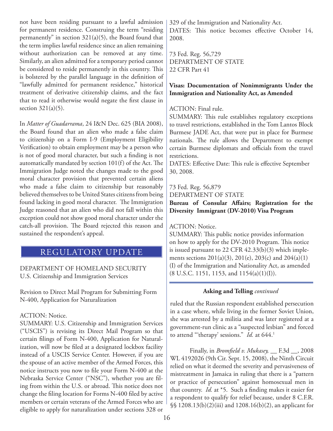not have been residing pursuant to a lawful admission for permanent residence. Construing the term "residing permanently" in section  $321(a)(5)$ , the Board found that the term implies lawful residence since an alien remaining without authorization can be removed at any time. Similarly, an alien admitted for a temporary period cannot be considered to reside permanently in this country. This is bolstered by the parallel language in the definition of "lawfully admitted for permanent residence," historical treatment of derivative citizenship claims, and the fact that to read it otherwise would negate the first clause in section  $321(a)(5)$ .

In *Matter of Guadarrama*, 24 I&N Dec. 625 (BIA 2008), the Board found that an alien who made a false claim to citizenship on a Form I-9 (Employment Eligibility Verification) to obtain employment may be a person who is not of good moral character, but such a finding is not automatically mandated by section 101(f) of the Act. The Immigration Judge noted the changes made to the good moral character provision that prevented certain aliens who made a false claim to citizenship but reasonably believed themselves to be United States citizens from being found lacking in good moral character. The Immigration Judge reasoned that an alien who did not fall within this exception could not show good moral character under the catch-all provision. The Board rejected this reason and sustained the respondent's appeal.

## REGULATORY UPDATE

DEPARTMENT OF HOMELAND SECURITY U.S. Citizenship and Immigration Services

Revision to Direct Mail Program for Submitting Form N-400, Application for Naturalization

#### ACTION: Notice.

SUMMARY: U.S. Citizenship and Immigration Services ("USCIS") is revising its Direct Mail Program so that certain filings of Form N-400, Application for Naturalization, will now be filed at a designated lockbox facility instead of a USCIS Service Center. However, if you are the spouse of an active member of the Armed Forces, this notice instructs you now to file your Form N-400 at the Nebraska Service Center ("NSC"), whether you are filing from within the U.S. or abroad. This notice does not change the filing location for Forms N-400 filed by active members or certain veterans of the Armed Forces who are eligible to apply for naturalization under sections 328 or

329 of the Immigration and Nationality Act. DATES: This notice becomes effective October 14, 2008.

73 Fed. Reg. 56,729 DEPARTMENT OF STATE 22 CFR Part 41

#### **Visas: Documentation of Nonimmigrants Under the Immigration and Nationality Act, as Amended**

#### ACTION: Final rule.

SUMMARY: This rule establishes regulatory exceptions to travel restrictions, established in the Tom Lantos Block Burmese JADE Act, that were put in place for Burmese nationals. The rule allows the Department to exempt certain Burmese diplomats and officials from the travel restrictions.

DATES: Effective Date: This rule is effective September 30, 2008.

73 Fed. Reg. 56,879

DEPARTMENT OF STATE

**Bureau of Consular Affairs; Registration for the Diversity Immigrant (DV-2010) Visa Program**

#### ACTION: Notice.

SUMMARY: This public notice provides information on how to apply for the DV-2010 Program. This notice is issued pursuant to 22 CFR 42.33(b)(3) which implements sections  $201(a)(3)$ ,  $201(e)$ ,  $203(c)$  and  $204(a)(1)$ (I) of the Immigration and Nationality Act, as amended  $(8 \text{ U.S.C. } 1151, 1153, \text{ and } 1154(a)(1)(I)).$ 

#### **Asking and Telling** *continued*

ruled that the Russian respondent established persecution in a case where, while living in the former Soviet Union, she was arrested by a militia and was later registered at a government-run clinic as a "suspected lesbian" and forced to attend "therapy' sessions." *Id.* at 644.<sup>1</sup>

Finally, in *Bromfield v. Mukasey,* \_\_ F.3d \_\_, 2008 WL 4192026 (9th Cir. Sept. 15, 2008), the Ninth Circuit relied on what it deemed the severity and pervasiveness of mistreatment in Jamaica in ruling that there is a "pattern or practice of persecution" against homosexual men in that country. *Id.* at \*5. Such a finding makes it easier for a respondent to qualify for relief because, under 8 C.F.R. §§ 1208.13(b)(2)(iii) and 1208.16(b)(2), an applicant for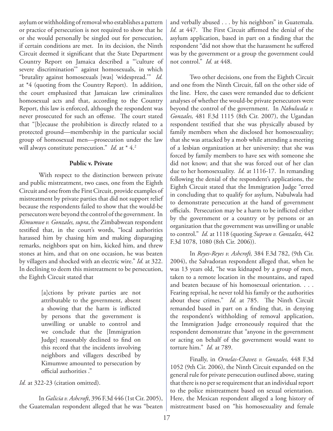asylum or withholding of removal who establishes a pattern or practice of persecution is not required to show that he or she would personally be singled out for persecution, if certain conditions are met. In its decision, the Ninth Circuit deemed it significant that the State Department Country Report on Jamaica described a "'culture of severe discrimination'" against homosexuals, in which "brutality against homosexuals [was] 'widespread.'" *Id.*  at \*4 (quoting from the Country Report). In addition, the court emphasized that Jamaican law criminalizes homosexual acts and that, according to the Country Report, this law is enforced, although the respondent was never prosecuted for such an offense. The court stated that "[b]ecause the prohibition is directly related to a protected ground—membership in the particular social group of homosexual men—prosecution under the law will always constitute persecution." *Id.* at \* 4.<sup>2</sup>

#### **Public v. Private**

With respect to the distinction between private and public mistreatment, two cases, one from the Eighth Circuit and one from the First Circuit, provide examples of mistreatment by private parties that did not support relief because the respondents failed to show that the would-be persecutors were beyond the control of the government. In *Kimumwe v. Gonzales, supra*, the Zimbabwean respondent testified that, in the court's words, "local authorities harassed him by chasing him and making disparaging remarks, neighbors spat on him, kicked him, and threw stones at him, and that on one occasion, he was beaten by villagers and shocked with an electric wire." *Id.* at 322. In declining to deem this mistreatment to be persecution, the Eighth Circuit stated that

> [a]ctions by private parties are not attributable to the government, absent a showing that the harm is inflicted by persons that the government is unwilling or unable to control and we conclude that the [Immigration Judge] reasonably declined to find on this record that the incidents involving neighbors and villagers described by Kimumwe amounted to persecution by official authorities ."

Id. at 322-23 (citation omitted).

In *Galicia v. Ashcroft*, 396 F.3d 446 (1st Cir. 2005), the Guatemalan respondent alleged that he was "beaten and verbally abused . . . by his neighbors" in Guatemala. *Id.* at 447. The First Circuit affirmed the denial of the asylum application, based in part on a finding that the respondent "did not show that the harassment he suffered was by the government or a group the government could not control." *Id.* at 448.

Two other decisions, one from the Eighth Circuit and one from the Ninth Circuit, fall on the other side of the line. Here, the cases were remanded due to deficient analyses of whether the would-be private persecutors were beyond the control of the government. In *Nabulwala v. Gonzales,* 481 F.3d 1115 (8th Cir. 2007), the Ugandan respondent testified that she was physically abused by family members when she disclosed her homosexuality; that she was attacked by a mob while attending a meeting of a lesbian organization at her university; that she was forced by family members to have sex with someone she did not know; and that she was forced out of her clan due to her homosexuality. *Id.* at 1116-17. In remanding following the denial of the respondent's applications, the Eighth Circuit stated that the Immigration Judge "erred in concluding that to qualify for asylum, Nabulwala had to demonstrate persecution at the hand of government officials. Persecution may be a harm to be inflicted either by the government or a country or by persons or an organization that the government was unwilling or unable to control." *Id.* at 1118 (quoting *Suprun v. Gonzalez*, 442 F.3d 1078, 1080 (8th Cir. 2006)).

In *Reyes-Reyes v. Ashcroft,* 384 F.3d 782, (9th Cir. 2004), the Salvadoran respondent alleged that, when he was 13 years old, "he was kidnaped by a group of men, taken to a remote location in the mountains, and raped and beaten because of his homosexual orientation. . . . Fearing reprisal, he never told his family or the authorities about these crimes." *Id.* at 785. The Ninth Circuit remanded based in part on a finding that, in denying the respondent's withholding of removal application, the Immigration Judge erroneously required that the respondent demonstrate that "anyone in the government or acting on behalf of the government would want to torture him." *Id.* at 789.

Finally, in *Ornelas-Chavez v. Gonzales,* 448 F.3d 1052 (9th Cir. 2006), the Ninth Circuit expanded on the general rule for private persecution outlined above, stating that there is no per se requirement that an individual report to the police mistreatment based on sexual orientation. Here, the Mexican respondent alleged a long history of mistreatment based on "his homosexuality and female